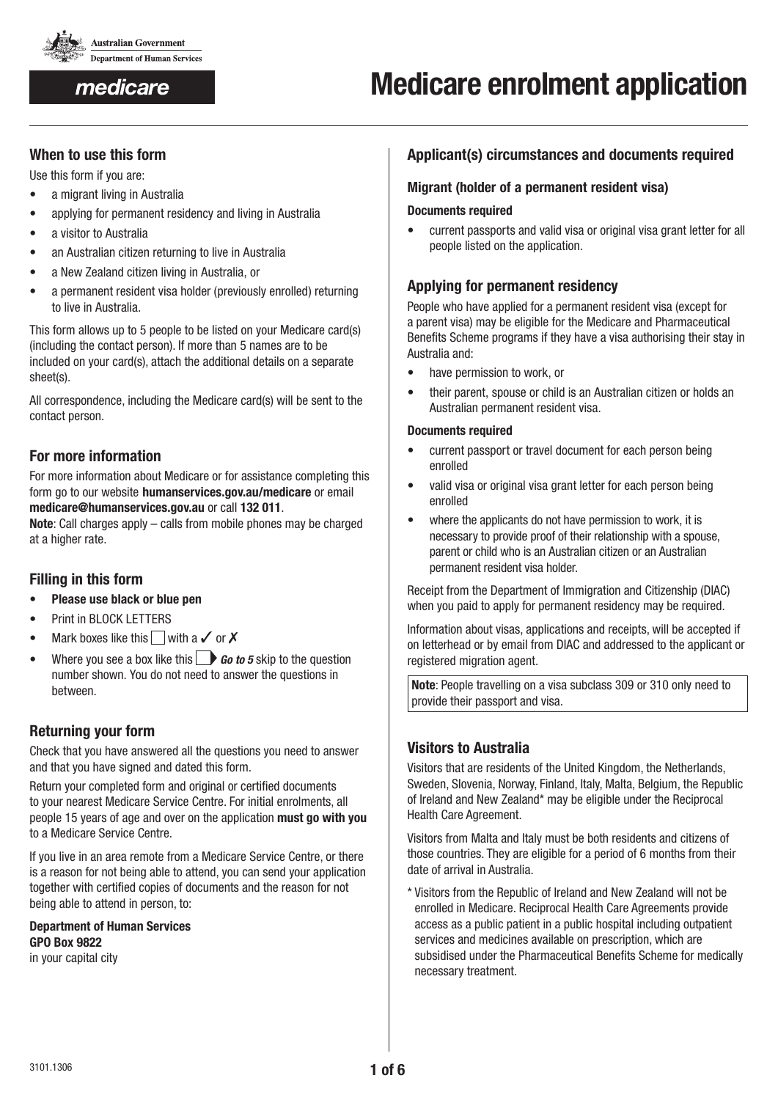

medicare

### **When to use this form**

Use this form if you are:

- a migrant living in Australia
- applying for permanent residency and living in Australia
- • a visitor to Australia
- an Australian citizen returning to live in Australia
- a New Zealand citizen living in Australia, or
- a permanent resident visa holder (previously enrolled) returning to live in Australia.

This form allows up to 5 people to be listed on your Medicare card(s) (including the contact person). If more than 5 names are to be included on your card(s), attach the additional details on a separate sheet(s).

All correspondence, including the Medicare card(s) will be sent to the contact person.

## **For more information**

For more information about Medicare or for assistance completing this form go to our website **humanservices.gov.au/medicare** or email **medicare@humanservices.gov.au** or call **132 011**.

**Note**: Call charges apply – calls from mobile phones may be charged at a higher rate.

## **Filling in this form**

- • **Please use black or blue pen**
- Print in BLOCK LETTERS
- Mark boxes like this with a  $\checkmark$  or  $\checkmark$
- Where you see a box like this  $\Box$  **Go to 5** skip to the question number shown. You do not need to answer the questions in between.

## **Returning your form**

Check that you have answered all the questions you need to answer and that you have signed and dated this form.

Return your completed form and original or certified documents to your nearest Medicare Service Centre. For initial enrolments, all people 15 years of age and over on the application **must go with you** to a Medicare Service Centre.

If you live in an area remote from a Medicare Service Centre, or there is a reason for not being able to attend, you can send your application together with certified copies of documents and the reason for not being able to attend in person, to:

**Department of Human Services GPO Box 9822** in your capital city

### **Applicant(s) circumstances and documents required**

### **Migrant (holder of a permanent resident visa)**

#### **Documents required**

• current passports and valid visa or original visa grant letter for all people listed on the application.

## **Applying for permanent residency**

People who have applied for a permanent resident visa (except for a parent visa) may be eligible for the Medicare and Pharmaceutical Benefits Scheme programs if they have a visa authorising their stay in Australia and:

- have permission to work, or
- their parent, spouse or child is an Australian citizen or holds an Australian permanent resident visa.

#### **Documents required**

- • current passport or travel document for each person being enrolled
- valid visa or original visa grant letter for each person being enrolled
- where the applicants do not have permission to work, it is necessary to provide proof of their relationship with a spouse, parent or child who is an Australian citizen or an Australian permanent resident visa holder.

Receipt from the Department of Immigration and Citizenship (DIAC) when you paid to apply for permanent residency may be required.

Information about visas, applications and receipts, will be accepted if on letterhead or by email from DIAC and addressed to the applicant or registered migration agent.

**Note**: People travelling on a visa subclass 309 or 310 only need to provide their passport and visa.

## **Visitors to Australia**

Visitors that are residents of the United Kingdom, the Netherlands, Sweden, Slovenia, Norway, Finland, Italy, Malta, Belgium, the Republic of Ireland and New Zealand\* may be eligible under the Reciprocal Health Care Agreement.

Visitors from Malta and Italy must be both residents and citizens of those countries. They are eligible for a period of 6 months from their date of arrival in Australia.

\* Visitors from the Republic of Ireland and New Zealand will not be enrolled in Medicare. Reciprocal Health Care Agreements provide access as a public patient in a public hospital including outpatient services and medicines available on prescription, which are subsidised under the Pharmaceutical Benefits Scheme for medically necessary treatment.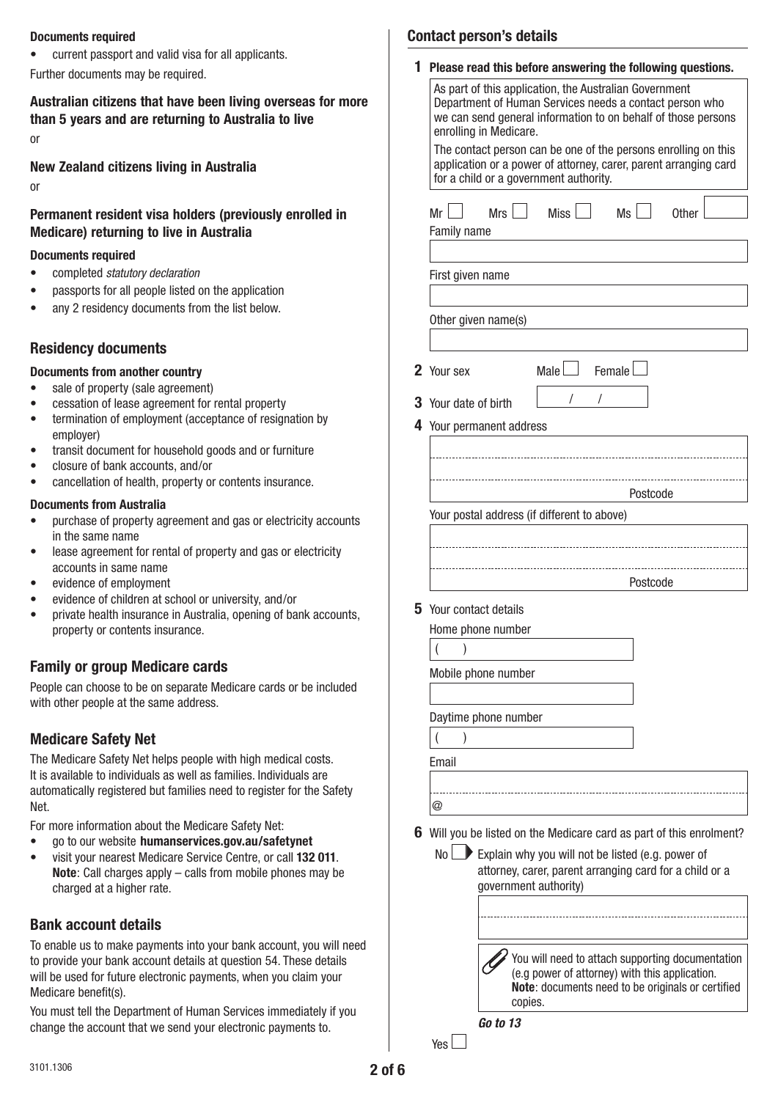#### **Documents required**

• current passport and valid visa for all applicants.

Further documents may be required.

# **Australian citizens that have been living overseas for more than 5 years and are returning to Australia to live**

or

**New Zealand citizens living in Australia**

or

### **Permanent resident visa holders (previously enrolled in Medicare) returning to live in Australia**

#### **Documents required**

- • completed *statutory declaration*
- passports for all people listed on the application
- any 2 residency documents from the list below.

## **Residency documents**

### **Documents from another country**

- sale of property (sale agreement)
- cessation of lease agreement for rental property
- • termination of employment (acceptance of resignation by employer)
- transit document for household goods and or furniture
- closure of bank accounts, and/or
- cancellation of health, property or contents insurance.

#### **Documents from Australia**

- purchase of property agreement and gas or electricity accounts in the same name
- lease agreement for rental of property and gas or electricity accounts in same name
- evidence of employment
- evidence of children at school or university, and/or
- private health insurance in Australia, opening of bank accounts, property or contents insurance.

## **Family or group Medicare cards**

People can choose to be on separate Medicare cards or be included with other people at the same address.

# **Medicare Safety Net**

The Medicare Safety Net helps people with high medical costs. It is available to individuals as well as families. Individuals are automatically registered but families need to register for the Safety **Net** 

For more information about the Medicare Safety Net:

- go to our website humanservices.gov.au/safetynet
- visit your nearest Medicare Service Centre, or call **132 011**. **Note**: Call charges apply – calls from mobile phones may be charged at a higher rate.

# **Bank account details**

To enable us to make payments into your bank account, you will need to provide your bank account details at question 54. These details will be used for future electronic payments, when you claim your Medicare benefit(s).

You must tell the Department of Human Services immediately if you change the account that we send your electronic payments to.

|  | <b>Contact person's details</b> |  |
|--|---------------------------------|--|
|--|---------------------------------|--|

| 1 | Please read this before answering the following questions.                                                                                                                                                   |  |  |  |  |  |
|---|--------------------------------------------------------------------------------------------------------------------------------------------------------------------------------------------------------------|--|--|--|--|--|
|   | As part of this application, the Australian Government<br>Department of Human Services needs a contact person who<br>we can send general information to on behalf of those persons<br>enrolling in Medicare. |  |  |  |  |  |
|   | The contact person can be one of the persons enrolling on this<br>application or a power of attorney, carer, parent arranging card<br>for a child or a government authority.                                 |  |  |  |  |  |
|   | Miss $\vert$ $\vert$<br>Mrs $\vert$ $\vert$<br>$Ms$  <br>Mr l<br><b>Other</b><br>Family name                                                                                                                 |  |  |  |  |  |
|   | First given name                                                                                                                                                                                             |  |  |  |  |  |
|   | Other given name(s)                                                                                                                                                                                          |  |  |  |  |  |
|   | Female I<br>2 Your sex<br>Male $\Box$                                                                                                                                                                        |  |  |  |  |  |
|   | I<br>3 Your date of birth                                                                                                                                                                                    |  |  |  |  |  |
|   | 4 Your permanent address                                                                                                                                                                                     |  |  |  |  |  |
|   |                                                                                                                                                                                                              |  |  |  |  |  |
|   | Postcode<br>Your postal address (if different to above)                                                                                                                                                      |  |  |  |  |  |
|   |                                                                                                                                                                                                              |  |  |  |  |  |
|   |                                                                                                                                                                                                              |  |  |  |  |  |
|   | Postcode                                                                                                                                                                                                     |  |  |  |  |  |
| 5 | Your contact details                                                                                                                                                                                         |  |  |  |  |  |
|   | Home phone number                                                                                                                                                                                            |  |  |  |  |  |
|   | )                                                                                                                                                                                                            |  |  |  |  |  |
|   | Mobile phone number                                                                                                                                                                                          |  |  |  |  |  |
|   |                                                                                                                                                                                                              |  |  |  |  |  |
|   | Daytime phone number                                                                                                                                                                                         |  |  |  |  |  |
|   | )                                                                                                                                                                                                            |  |  |  |  |  |
|   | Email                                                                                                                                                                                                        |  |  |  |  |  |
|   | @                                                                                                                                                                                                            |  |  |  |  |  |
|   |                                                                                                                                                                                                              |  |  |  |  |  |
|   | 6 Will you be listed on the Medicare card as part of this enrolment?                                                                                                                                         |  |  |  |  |  |
|   | $No \Box$<br>Explain why you will not be listed (e.g. power of<br>attorney, carer, parent arranging card for a child or a<br>government authority)                                                           |  |  |  |  |  |
|   |                                                                                                                                                                                                              |  |  |  |  |  |
|   | You will need to attach supporting documentation                                                                                                                                                             |  |  |  |  |  |

 $Yes$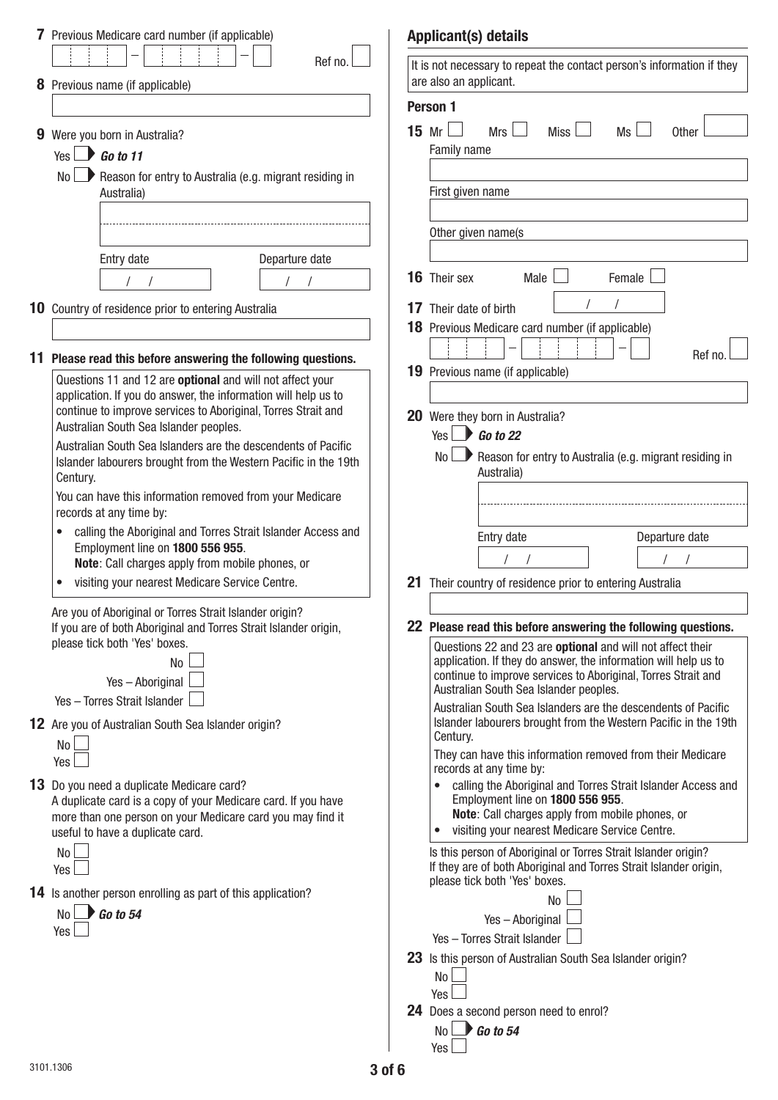|    | 7 Previous Medicare card number (if applicable)                                                                                                                                 |        | <b>Applicant(s) details</b>                                                                                                                                                                    |
|----|---------------------------------------------------------------------------------------------------------------------------------------------------------------------------------|--------|------------------------------------------------------------------------------------------------------------------------------------------------------------------------------------------------|
|    | Ref no.                                                                                                                                                                         |        | It is not necessary to repeat the contact person's information if they<br>are also an applicant.                                                                                               |
|    | 8 Previous name (if applicable)                                                                                                                                                 |        | Person 1                                                                                                                                                                                       |
| 9  | Were you born in Australia?<br>$\bigcup$ Go to 11<br>Yes I                                                                                                                      |        | 15 Mr $\Box$<br>Mrs<br>Miss $\Box$<br>Ms<br><b>Other</b><br>Family name                                                                                                                        |
|    | $\blacksquare$ Reason for entry to Australia (e.g. migrant residing in<br>No l<br>Australia)                                                                                    |        | First given name                                                                                                                                                                               |
|    |                                                                                                                                                                                 |        | Other given name(s                                                                                                                                                                             |
|    | Departure date<br>Entry date                                                                                                                                                    |        |                                                                                                                                                                                                |
|    |                                                                                                                                                                                 |        | 16 Their sex<br>Male<br>Female                                                                                                                                                                 |
|    | 10 Country of residence prior to entering Australia                                                                                                                             |        | 17 Their date of birth<br>18 Previous Medicare card number (if applicable)                                                                                                                     |
| 11 | Please read this before answering the following questions.                                                                                                                      |        | Ref no                                                                                                                                                                                         |
|    | Questions 11 and 12 are optional and will not affect your                                                                                                                       |        | <b>19</b> Previous name (if applicable)                                                                                                                                                        |
|    | application. If you do answer, the information will help us to<br>continue to improve services to Aboriginal, Torres Strait and                                                 |        |                                                                                                                                                                                                |
|    | Australian South Sea Islander peoples.                                                                                                                                          |        | 20 Were they born in Australia?<br>Yes $\rightarrow$ Go to 22                                                                                                                                  |
|    | Australian South Sea Islanders are the descendents of Pacific<br>Islander labourers brought from the Western Pacific in the 19th<br>Century.                                    |        | $\blacksquare$ Reason for entry to Australia (e.g. migrant residing in<br>No L<br>Australia)                                                                                                   |
|    | You can have this information removed from your Medicare<br>records at any time by:                                                                                             |        |                                                                                                                                                                                                |
|    | calling the Aboriginal and Torres Strait Islander Access and<br>Employment line on 1800 556 955.<br>Note: Call charges apply from mobile phones, or                             |        | Departure date<br>Entry date                                                                                                                                                                   |
|    | visiting your nearest Medicare Service Centre.                                                                                                                                  |        | 21 Their country of residence prior to entering Australia                                                                                                                                      |
|    | Are you of Aboriginal or Torres Strait Islander origin?                                                                                                                         |        |                                                                                                                                                                                                |
|    | If you are of both Aboriginal and Torres Strait Islander origin,<br>please tick both 'Yes' boxes.                                                                               |        | 22 Please read this before answering the following questions.                                                                                                                                  |
|    | No                                                                                                                                                                              |        | Questions 22 and 23 are optional and will not affect their<br>application. If they do answer, the information will help us to<br>continue to improve services to Aboriginal, Torres Strait and |
|    | Yes-Aboriginal<br>Yes - Torres Strait Islander                                                                                                                                  |        | Australian South Sea Islander peoples.                                                                                                                                                         |
|    | 12 Are you of Australian South Sea Islander origin?                                                                                                                             |        | Australian South Sea Islanders are the descendents of Pacific<br>Islander labourers brought from the Western Pacific in the 19th<br>Century.                                                   |
|    | No l<br>Yes                                                                                                                                                                     |        | They can have this information removed from their Medicare<br>records at any time by:                                                                                                          |
|    | <b>13</b> Do you need a duplicate Medicare card?<br>A duplicate card is a copy of your Medicare card. If you have<br>more than one person on your Medicare card you may find it |        | calling the Aboriginal and Torres Strait Islander Access and<br>$\bullet$<br>Employment line on 1800 556 955.<br>Note: Call charges apply from mobile phones, or                               |
|    | useful to have a duplicate card.                                                                                                                                                |        | visiting your nearest Medicare Service Centre.                                                                                                                                                 |
|    | No l<br>Yes                                                                                                                                                                     |        | Is this person of Aboriginal or Torres Strait Islander origin?<br>If they are of both Aboriginal and Torres Strait Islander origin,<br>please tick both 'Yes' boxes.                           |
|    | 14 Is another person enrolling as part of this application?                                                                                                                     |        | No                                                                                                                                                                                             |
|    | $\bigcup$ Go to 54<br>No l<br>Yes                                                                                                                                               |        | Yes-Aboriginal                                                                                                                                                                                 |
|    |                                                                                                                                                                                 |        | Yes - Torres Strait Islander                                                                                                                                                                   |
|    |                                                                                                                                                                                 |        | 23 Is this person of Australian South Sea Islander origin?<br>No l<br>Yes                                                                                                                      |
|    |                                                                                                                                                                                 |        | <b>24</b> Does a second person need to enrol?                                                                                                                                                  |
|    |                                                                                                                                                                                 |        | $\bigcup$ Go to 54<br>No l<br>Yes                                                                                                                                                              |
|    | 3101.1306                                                                                                                                                                       | 3 of 6 |                                                                                                                                                                                                |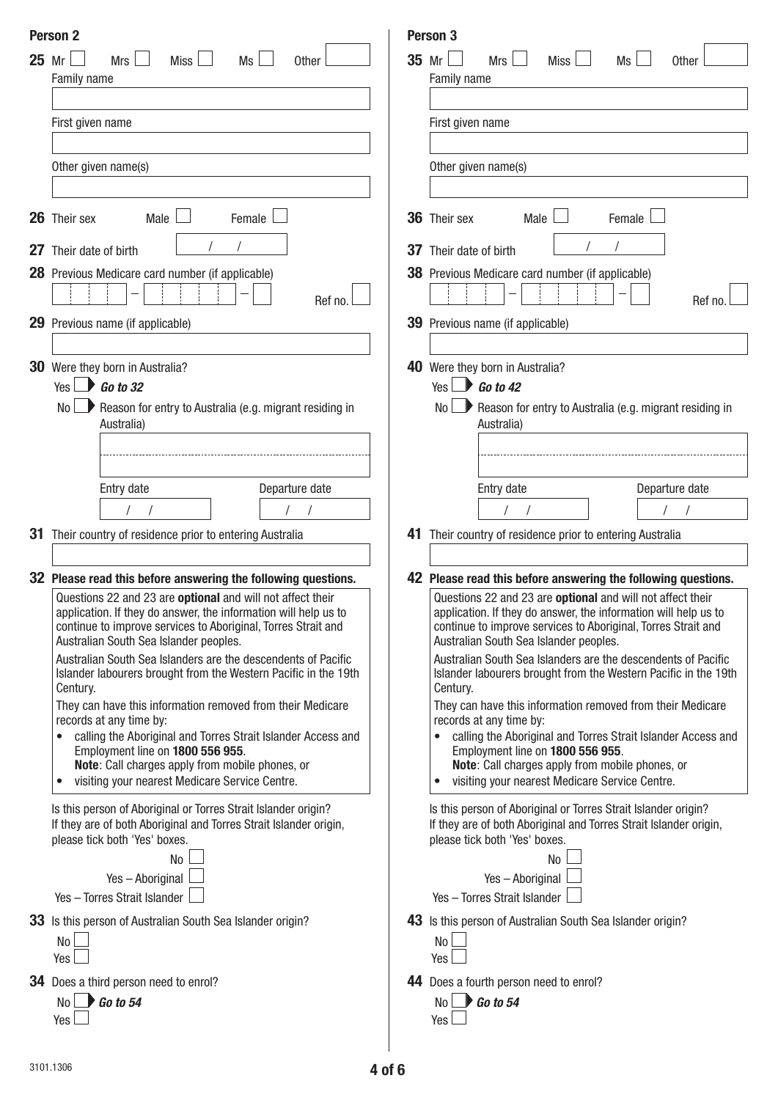|       | <b>Person 2</b>                                                                                                                     |         | Person 3                                                                                                                            |
|-------|-------------------------------------------------------------------------------------------------------------------------------------|---------|-------------------------------------------------------------------------------------------------------------------------------------|
| 25 Mr | Mrs<br>Miss  <br>Ms<br><b>Other</b>                                                                                                 | $35$ Mr | Mrs $\Box$<br>Miss <sup>1</sup><br>Ms<br>Other                                                                                      |
|       | Family name                                                                                                                         |         | Family name                                                                                                                         |
|       |                                                                                                                                     |         |                                                                                                                                     |
|       | First given name                                                                                                                    |         | First given name                                                                                                                    |
|       |                                                                                                                                     |         |                                                                                                                                     |
|       | Other given name(s)                                                                                                                 |         | Other given name(s)                                                                                                                 |
|       |                                                                                                                                     |         |                                                                                                                                     |
|       |                                                                                                                                     |         |                                                                                                                                     |
|       | 26 Their sex<br>Male<br>Female                                                                                                      |         | 36 Their sex<br>Male $\Box$<br>Female                                                                                               |
|       |                                                                                                                                     |         |                                                                                                                                     |
|       | 27 Their date of birth                                                                                                              |         | <b>37</b> Their date of birth                                                                                                       |
|       | 28 Previous Medicare card number (if applicable)                                                                                    |         | 38 Previous Medicare card number (if applicable)                                                                                    |
|       | Ref no.                                                                                                                             |         | Ref no.                                                                                                                             |
|       | <b>29</b> Previous name (if applicable)                                                                                             |         | <b>39</b> Previous name (if applicable)                                                                                             |
|       |                                                                                                                                     |         |                                                                                                                                     |
| 30    | Were they born in Australia?                                                                                                        |         | 40 Were they born in Australia?                                                                                                     |
|       | Yes $\rightarrow$ Go to 32                                                                                                          |         | Yes $\bigcup$ Go to 42                                                                                                              |
|       | $\blacksquare$ Reason for entry to Australia (e.g. migrant residing in<br>No                                                        |         | $No \rightarrow$ Reason for entry to Australia (e.g. migrant residing in                                                            |
|       | Australia)                                                                                                                          |         | Australia)                                                                                                                          |
|       |                                                                                                                                     |         |                                                                                                                                     |
|       |                                                                                                                                     |         |                                                                                                                                     |
|       | Departure date<br>Entry date                                                                                                        |         | Departure date<br>Entry date                                                                                                        |
|       |                                                                                                                                     |         |                                                                                                                                     |
| 31    | Their country of residence prior to entering Australia                                                                              |         | 41 Their country of residence prior to entering Australia                                                                           |
|       |                                                                                                                                     |         |                                                                                                                                     |
|       |                                                                                                                                     |         |                                                                                                                                     |
|       | 32 Please read this before answering the following questions.<br>Questions 22 and 23 are optional and will not affect their         |         | 42 Please read this before answering the following questions.<br>Questions 22 and 23 are optional and will not affect their         |
|       | application. If they do answer, the information will help us to                                                                     |         | application. If they do answer, the information will help us to                                                                     |
|       | continue to improve services to Aboriginal, Torres Strait and                                                                       |         | continue to improve services to Aboriginal, Torres Strait and                                                                       |
|       | Australian South Sea Islander peoples.<br>Australian South Sea Islanders are the descendents of Pacific                             |         | Australian South Sea Islander peoples.<br>Australian South Sea Islanders are the descendents of Pacific                             |
|       | Islander labourers brought from the Western Pacific in the 19th                                                                     |         | Islander labourers brought from the Western Pacific in the 19th                                                                     |
|       | Century.                                                                                                                            |         | Century.                                                                                                                            |
|       | They can have this information removed from their Medicare<br>records at any time by:                                               |         | They can have this information removed from their Medicare<br>records at any time by:                                               |
|       | calling the Aboriginal and Torres Strait Islander Access and                                                                        |         | calling the Aboriginal and Torres Strait Islander Access and                                                                        |
|       | Employment line on 1800 556 955.                                                                                                    |         | Employment line on 1800 556 955.                                                                                                    |
|       | Note: Call charges apply from mobile phones, or<br>visiting your nearest Medicare Service Centre.<br>$\bullet$                      |         | Note: Call charges apply from mobile phones, or<br>visiting your nearest Medicare Service Centre.                                   |
|       |                                                                                                                                     |         |                                                                                                                                     |
|       | Is this person of Aboriginal or Torres Strait Islander origin?<br>If they are of both Aboriginal and Torres Strait Islander origin, |         | Is this person of Aboriginal or Torres Strait Islander origin?<br>If they are of both Aboriginal and Torres Strait Islander origin, |
|       | please tick both 'Yes' boxes.                                                                                                       |         | please tick both 'Yes' boxes.                                                                                                       |
|       | No                                                                                                                                  |         | No                                                                                                                                  |
|       | Yes-Aboriginal                                                                                                                      |         | Yes-Aboriginal                                                                                                                      |
|       | Yes - Torres Strait Islander                                                                                                        |         | Yes - Torres Strait Islander                                                                                                        |
|       | 33 Is this person of Australian South Sea Islander origin?                                                                          |         | 43 Is this person of Australian South Sea Islander origin?                                                                          |
|       | No                                                                                                                                  |         | No l                                                                                                                                |
|       | Yes                                                                                                                                 |         | Yes                                                                                                                                 |
|       | <b>34</b> Does a third person need to enrol?                                                                                        |         | 44 Does a fourth person need to enrol?                                                                                              |
|       | $No \rightarrow Go$ to 54                                                                                                           |         | $No \rightarrow Go$ to 54                                                                                                           |
|       | Yes                                                                                                                                 |         | Yes                                                                                                                                 |
|       |                                                                                                                                     |         |                                                                                                                                     |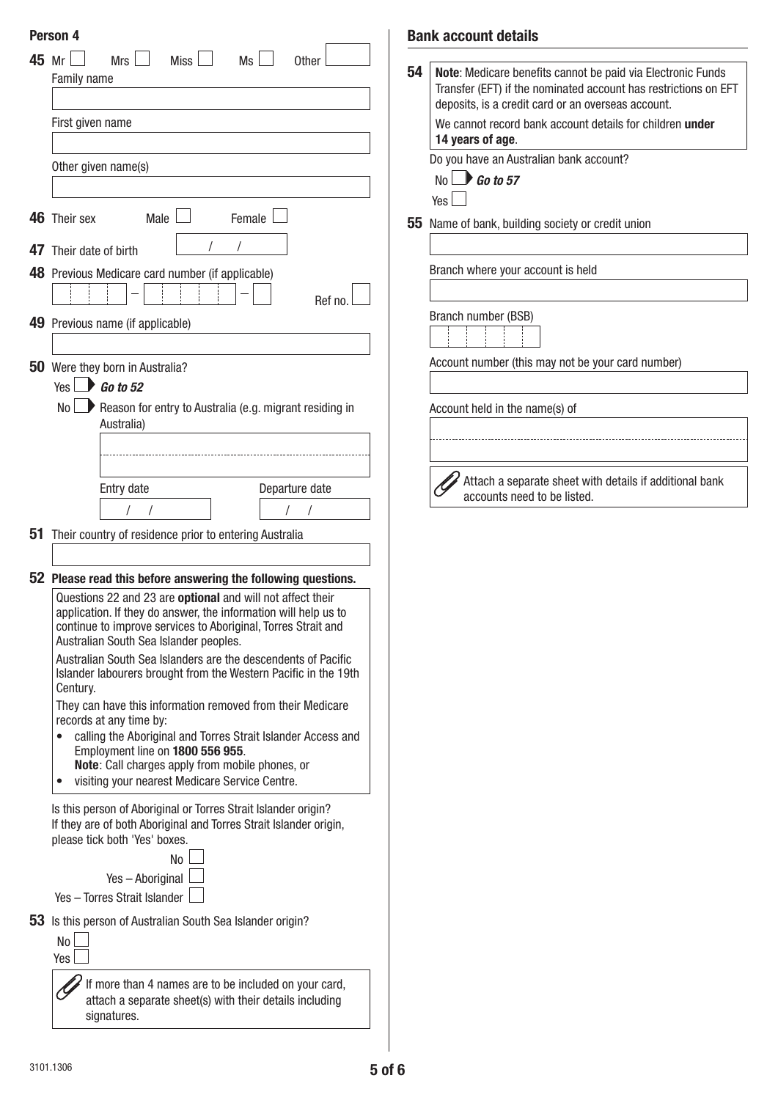|    | Person 4                                                                                                                                                                                       |    | <b>Bank account details</b>                                                                                                                                                          |
|----|------------------------------------------------------------------------------------------------------------------------------------------------------------------------------------------------|----|--------------------------------------------------------------------------------------------------------------------------------------------------------------------------------------|
|    | 45 Mr<br><b>Mrs</b><br>Ms<br>Miss l<br>$\mathcal{L}$<br>$\overline{\phantom{0}}$<br><b>Other</b><br>Family name                                                                                | 54 | Note: Medicare benefits cannot be paid via Electronic Funds<br>Transfer (EFT) if the nominated account has restrictions on EFT<br>deposits, is a credit card or an overseas account. |
|    | First given name                                                                                                                                                                               |    | We cannot record bank account details for children under<br>14 years of age.                                                                                                         |
|    | Other given name(s)                                                                                                                                                                            |    | Do you have an Australian bank account?<br>$No \rightarrow Go$ to 57                                                                                                                 |
|    | 46 Their sex<br>Male L<br>Female                                                                                                                                                               |    | Yes                                                                                                                                                                                  |
| 47 | Their date of birth                                                                                                                                                                            |    | 55 Name of bank, building society or credit union                                                                                                                                    |
|    | 48 Previous Medicare card number (if applicable)                                                                                                                                               |    | Branch where your account is held                                                                                                                                                    |
|    | Ref no.<br>49 Previous name (if applicable)                                                                                                                                                    |    | Branch number (BSB)                                                                                                                                                                  |
|    | 50 Were they born in Australia?                                                                                                                                                                |    | Account number (this may not be your card number)                                                                                                                                    |
|    | Yes $\Box$ Go to 52                                                                                                                                                                            |    |                                                                                                                                                                                      |
|    | Reason for entry to Australia (e.g. migrant residing in<br>No L<br>Australia)                                                                                                                  |    | Account held in the name(s) of                                                                                                                                                       |
|    |                                                                                                                                                                                                |    |                                                                                                                                                                                      |
|    | Departure date<br>Entry date                                                                                                                                                                   |    | Attach a separate sheet with details if additional bank<br>accounts need to be listed.                                                                                               |
|    |                                                                                                                                                                                                |    |                                                                                                                                                                                      |
| 51 | Their country of residence prior to entering Australia                                                                                                                                         |    |                                                                                                                                                                                      |
|    | 52 Please read this before answering the following questions.                                                                                                                                  |    |                                                                                                                                                                                      |
|    | Questions 22 and 23 are optional and will not affect their<br>application. If they do answer, the information will help us to<br>continue to improve services to Aboriginal, Torres Strait and |    |                                                                                                                                                                                      |
|    | Australian South Sea Islander peoples.<br>Australian South Sea Islanders are the descendents of Pacific<br>Islander labourers brought from the Western Pacific in the 19th                     |    |                                                                                                                                                                                      |
|    | Century.<br>They can have this information removed from their Medicare<br>records at any time by:                                                                                              |    |                                                                                                                                                                                      |
|    | calling the Aboriginal and Torres Strait Islander Access and<br>Employment line on 1800 556 955.<br>Note: Call charges apply from mobile phones, or                                            |    |                                                                                                                                                                                      |
|    | visiting your nearest Medicare Service Centre.<br>$\bullet$                                                                                                                                    |    |                                                                                                                                                                                      |
|    | Is this person of Aboriginal or Torres Strait Islander origin?<br>If they are of both Aboriginal and Torres Strait Islander origin,<br>please tick both 'Yes' boxes.                           |    |                                                                                                                                                                                      |
|    | No                                                                                                                                                                                             |    |                                                                                                                                                                                      |
|    | Yes-Aboriginal<br>Yes - Torres Strait Islander                                                                                                                                                 |    |                                                                                                                                                                                      |
|    | 53 Is this person of Australian South Sea Islander origin?<br>No                                                                                                                               |    |                                                                                                                                                                                      |
|    | Yes                                                                                                                                                                                            |    |                                                                                                                                                                                      |
|    | If more than 4 names are to be included on your card,<br>attach a separate sheet(s) with their details including<br>signatures.                                                                |    |                                                                                                                                                                                      |
|    |                                                                                                                                                                                                |    |                                                                                                                                                                                      |